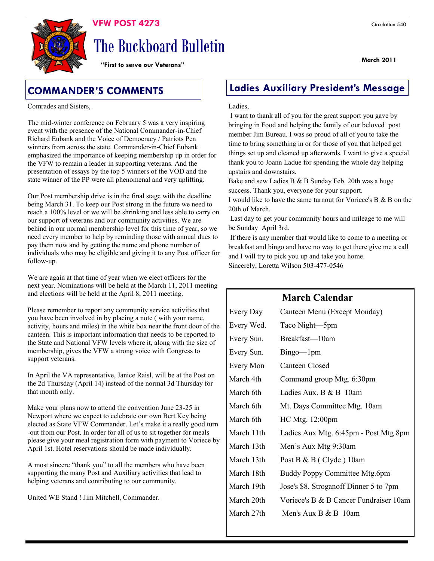

# The Buckboard Bulletin

**"First to serve our Veterans"**

Comrades and Sisters,

The mid-winter conference on February 5 was a very inspiring event with the presence of the National Commander-in-Chief Richard Eubank and the Voice of Democracy / Patriots Pen winners from across the state. Commander-in-Chief Eubank emphasized the importance of keeping membership up in order for the VFW to remain a leader in supporting veterans. And the presentation of essays by the top 5 winners of the VOD and the state winner of the PP were all phenomenal and very uplifting.

Our Post membership drive is in the final stage with the deadline being March 31. To keep our Post strong in the future we need to reach a 100% level or we will be shrinking and less able to carry on our support of veterans and our community activities. We are behind in our normal membership level for this time of year, so we need every member to help by reminding those with annual dues to pay them now and by getting the name and phone number of individuals who may be eligible and giving it to any Post officer for follow-up.

We are again at that time of year when we elect officers for the next year. Nominations will be held at the March 11, 2011 meeting and elections will be held at the April 8, 2011 meeting.

Please remember to report any community service activities that you have been involved in by placing a note ( with your name, activity, hours and miles) in the white box near the front door of the canteen. This is important information that needs to be reported to the State and National VFW levels where it, along with the size of membership, gives the VFW a strong voice with Congress to support veterans.

In April the VA representative, Janice Raisl, will be at the Post on the 2d Thursday (April 14) instead of the normal 3d Thursday for that month only.

Make your plans now to attend the convention June 23-25 in Newport where we expect to celebrate our own Bert Key being elected as State VFW Commander. Let's make it a really good turn -out from our Post. In order for all of us to sit together for meals please give your meal registration form with payment to Voriece by April 1st. Hotel reservations should be made individually.

A most sincere "thank you" to all the members who have been supporting the many Post and Auxiliary activities that lead to helping veterans and contributing to our community.

United WE Stand ! Jim Mitchell, Commander.

# **COMMANDER'S COMMENTS Ladies Auxiliary President's Message**

### Ladies,

I want to thank all of you for the great support you gave by bringing in Food and helping the family of our beloved post member Jim Bureau. I was so proud of all of you to take the time to bring something in or for those of you that helped get things set up and cleaned up afterwards. I want to give a special thank you to Joann Ladue for spending the whole day helping upstairs and downstairs.

Bake and sew Ladies B  $&$  B Sunday Feb. 20th was a huge success. Thank you, everyone for your support.

I would like to have the same turnout for Voriece's B & B on the 20th of March.

Last day to get your community hours and mileage to me will be Sunday April 3rd.

If there is any member that would like to come to a meeting or breakfast and bingo and have no way to get there give me a call and I will try to pick you up and take you home. Sincerely, Loretta Wilson 503-477-0546

# **March Calendar**

| Every Day  | Canteen Menu (Except Monday)           |
|------------|----------------------------------------|
| Every Wed. | Taco Night-5pm                         |
| Every Sun. | Breakfast-10am                         |
| Every Sun. | $Bingo$ — $1pm$                        |
| Every Mon  | Canteen Closed                         |
| March 4th  | Command group Mtg. 6:30pm              |
| March 6th  | Ladies Aux. B & B 10am                 |
| March 6th  | Mt. Days Committee Mtg. 10am           |
| March 6th  | HC Mtg. 12:00pm                        |
| March 11th | Ladies Aux Mtg. 6:45pm - Post Mtg 8pm  |
| March 13th | Men's Aux Mtg 9:30am                   |
| March 13th | Post B & B (Clyde) 10am                |
| March 18th | Buddy Poppy Committee Mtg.6pm          |
| March 19th | Jose's \$8. Stroganoff Dinner 5 to 7pm |
| March 20th | Voriece's B & B Cancer Fundraiser 10am |
| March 27th | Men's Aux B & B 10am                   |
|            |                                        |

**March 2011**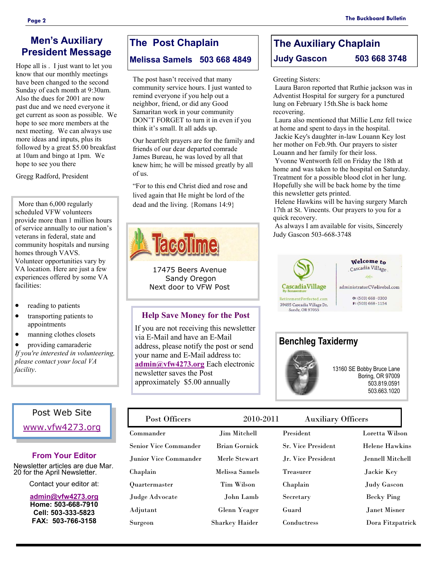### **President Message** Hope all is . I just want to let you know that our monthly meetings have been changed to the second Sunday of each month at 9:30am. Also the dues for 2001 are now past due and we need everyone it get current as soon as possible. We hope to see more members at the next meeting. We can always use more ideas and inputs, plus its followed by a great \$5.00 breakfast at 10am and bingo at 1pm. We hope to see you there

Gregg Radford, President

 More than 6,000 regularly scheduled VFW volunteers provide more than 1 million hours of service annually to our nation's veterans in federal, state and community hospitals and nursing homes through VAVS. Volunteer opportunities vary by VA location. Here are just a few experiences offered by some VA facilities:

- reading to patients
- transporting patients to appointments
- manning clothes closets

 providing camaraderie *If you're interested in volunteering, please contact your local VA facility*.

# Post Web Site

[www.vfw4273.org](http://www.vfw4273.org/)

## **From Your Editor**

Newsletter articles are due Mar. 20 for the April Newsletter.

Contact your editor at:

**[admin@vfw4273.org](mailto:admin@vfw4273.org) Home: 503-668-7910 Cell: 503-333-5823 FAX: 503-766-3158**

# **The Post Chaplain**

# **Melissa Samels 503 668 4849**

The post hasn't received that many community service hours. I just wanted to remind everyone if you help out a neighbor, friend, or did any Good Samaritan work in your community DON'T FORGET to turn it in even if you think it's small. It all adds up.

Our heartfelt prayers are for the family and friends of our dear departed comrade James Bureau, he was loved by all that knew him; he will be missed greatly by all of us.

―For to this end Christ died and rose and lived again that He might be lord of the dead and the living. {Romans 14:9}



17475 Beers Avenue Sandy Oregon Next door to VFW Post

## **Help Save Money for the Post**

If you are not receiving this newsletter via E-Mail and have an E-Mail address, please notify the post or send your name and E-Mail address to: **[admin@vfw4273.org](mailto:admin@vfw4273.org)** Each electronic newsletter saves the Post approximately \$5.00 annually

# **The Auxiliary Chaplain Judy Gascon 503 668 3748**

### Greeting Sisters:

Laura Baron reported that Ruthie jackson was in Adventist Hospital for surgery for a punctured lung on February 15th.She is back home recovering.

Laura also mentioned that Millie Lenz fell twice at home and spent to days in the hospital. Jackie Key's daughter in-law Louann Key lost her mother on Feb.9th. Our prayers to sister Louann and her family for their loss.

Yvonne Wentworth fell on Friday the 18th at home and was taken to the hospital on Saturday. Treatment for a possible blood clot in her lung. Hopefully she will be back home by the time this newsletter gets printed.

Helene Hawkins will be having surgery March 17th at St. Vincents. Our prayers to you for a quick recovery.

As always I am available for visits, Sincerely Judy Gascon 503-668-3748





13160 SE Bobby Bruce Lane Boring, OR 97009 503.819.0591 503.663.1020

#### Commander Jim Mitchell Senior Vice Commander Brian Gornick Junior Vice Commander Merle Stewart Chaplain Melissa Samels Quartermaster Tim Wilson Judge Advocate John Lamb Adjutant Glenn Yeager Surgeon Sharkey Haider President Loretta Wilson Sr. Vice President Helene Hawkins Jr. Vice President Jennell Mitchell Treasurer Jackie Key Chaplain Judy Gascon Secretary Becky Ping Guard Janet Misner Conductress Dora Fitzpatrick Post Officers 2010-2011 Auxiliary Officers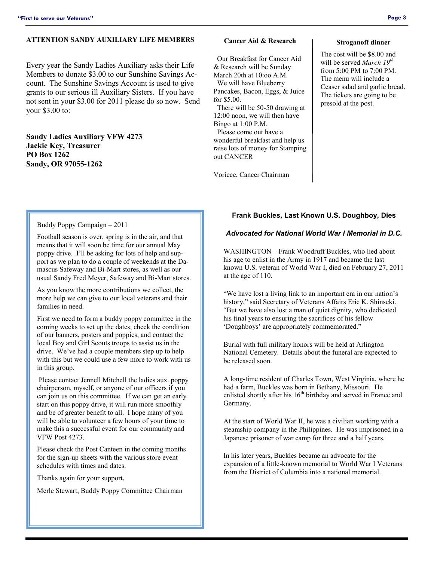### **ATTENTION SANDY AUXILIARY LIFE MEMBERS**

Every year the Sandy Ladies Auxiliary asks their Life Members to donate \$3.00 to our Sunshine Savings Account. The Sunshine Savings Account is used to give grants to our serious ill Auxiliary Sisters. If you have not sent in your \$3.00 for 2011 please do so now. Send your \$3.00 to:

**Sandy Ladies Auxiliary VFW 4273 Jackie Key, Treasurer PO Box 1262 Sandy, OR 97055-1262**

### **Cancer Aid & Research**

 Our Breakfast for Cancer Aid & Research will be Sunday March 20th at 10:oo A.M. We will have Blueberry Pancakes, Bacon, Eggs, & Juice for \$5.00. There will be 50-50 drawing at 12:00 noon, we will then have Bingo at 1:00 P.M. Please come out have a wonderful breakfast and help us raise lots of money for Stamping out CANCER

Voriece, Cancer Chairman

### **Stroganoff dinner**

The cost will be \$8.00 and will be served *March 19<sup>th</sup>* from 5:00 PM to 7:00 PM. The menu will include a Ceaser salad and garlic bread. The tickets are going to be presold at the post.

### Buddy Poppy Campaign – 2011

Football season is over, spring is in the air, and that means that it will soon be time for our annual May poppy drive. I'll be asking for lots of help and support as we plan to do a couple of weekends at the Damascus Safeway and Bi-Mart stores, as well as our usual Sandy Fred Meyer, Safeway and Bi-Mart stores.

As you know the more contributions we collect, the more help we can give to our local veterans and their families in need.

First we need to form a buddy poppy committee in the coming weeks to set up the dates, check the condition of our banners, posters and poppies, and contact the local Boy and Girl Scouts troops to assist us in the drive. We've had a couple members step up to help with this but we could use a few more to work with us in this group.

Please contact Jennell Mitchell the ladies aux. poppy chairperson, myself, or anyone of our officers if you can join us on this committee. If we can get an early start on this poppy drive, it will run more smoothly and be of greater benefit to all. I hope many of you will be able to volunteer a few hours of your time to make this a successful event for our community and VFW Post 4273.

Please check the Post Canteen in the coming months for the sign-up sheets with the various store event schedules with times and dates.

Thanks again for your support,

Merle Stewart, Buddy Poppy Committee Chairman

### **Frank Buckles, Last Known U.S. Doughboy, Dies**

### *Advocated for National World War I Memorial in D.C.*

WASHINGTON – Frank Woodruff Buckles, who lied about his age to enlist in the Army in 1917 and became the last known U.S. veteran of World War I, died on February 27, 2011 at the age of 110.

―We have lost a living link to an important era in our nation's history," said Secretary of Veterans Affairs Eric K. Shinseki. ―But we have also lost a man of quiet dignity, who dedicated his final years to ensuring the sacrifices of his fellow 'Doughboys' are appropriately commemorated."

Burial with full military honors will be held at Arlington National Cemetery. Details about the funeral are expected to be released soon.

A long-time resident of Charles Town, West Virginia, where he had a farm, Buckles was born in Bethany, Missouri. He enlisted shortly after his  $16<sup>th</sup>$  birthday and served in France and Germany.

At the start of World War II, he was a civilian working with a steamship company in the Philippines. He was imprisoned in a Japanese prisoner of war camp for three and a half years.

In his later years, Buckles became an advocate for the expansion of a little-known memorial to World War I Veterans from the District of Columbia into a national memorial.